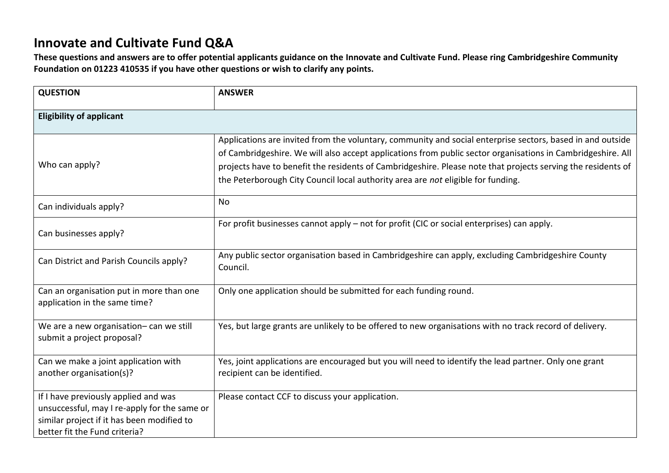## **Innovate and Cultivate Fund Q&A**

**These questions and answers are to offer potential applicants guidance on the Innovate and Cultivate Fund. Please ring Cambridgeshire Community Foundation on 01223 410535 if you have other questions or wish to clarify any points.** 

| <b>QUESTION</b>                                                                                                                                                     | <b>ANSWER</b>                                                                                                                                                                                                                                                                                                                                                                                                                 |  |
|---------------------------------------------------------------------------------------------------------------------------------------------------------------------|-------------------------------------------------------------------------------------------------------------------------------------------------------------------------------------------------------------------------------------------------------------------------------------------------------------------------------------------------------------------------------------------------------------------------------|--|
| <b>Eligibility of applicant</b>                                                                                                                                     |                                                                                                                                                                                                                                                                                                                                                                                                                               |  |
| Who can apply?                                                                                                                                                      | Applications are invited from the voluntary, community and social enterprise sectors, based in and outside<br>of Cambridgeshire. We will also accept applications from public sector organisations in Cambridgeshire. All<br>projects have to benefit the residents of Cambridgeshire. Please note that projects serving the residents of<br>the Peterborough City Council local authority area are not eligible for funding. |  |
| Can individuals apply?                                                                                                                                              | <b>No</b>                                                                                                                                                                                                                                                                                                                                                                                                                     |  |
| Can businesses apply?                                                                                                                                               | For profit businesses cannot apply - not for profit (CIC or social enterprises) can apply.                                                                                                                                                                                                                                                                                                                                    |  |
| Can District and Parish Councils apply?                                                                                                                             | Any public sector organisation based in Cambridgeshire can apply, excluding Cambridgeshire County<br>Council.                                                                                                                                                                                                                                                                                                                 |  |
| Can an organisation put in more than one<br>application in the same time?                                                                                           | Only one application should be submitted for each funding round.                                                                                                                                                                                                                                                                                                                                                              |  |
| We are a new organisation- can we still<br>submit a project proposal?                                                                                               | Yes, but large grants are unlikely to be offered to new organisations with no track record of delivery.                                                                                                                                                                                                                                                                                                                       |  |
| Can we make a joint application with<br>another organisation(s)?                                                                                                    | Yes, joint applications are encouraged but you will need to identify the lead partner. Only one grant<br>recipient can be identified.                                                                                                                                                                                                                                                                                         |  |
| If I have previously applied and was<br>unsuccessful, may I re-apply for the same or<br>similar project if it has been modified to<br>better fit the Fund criteria? | Please contact CCF to discuss your application.                                                                                                                                                                                                                                                                                                                                                                               |  |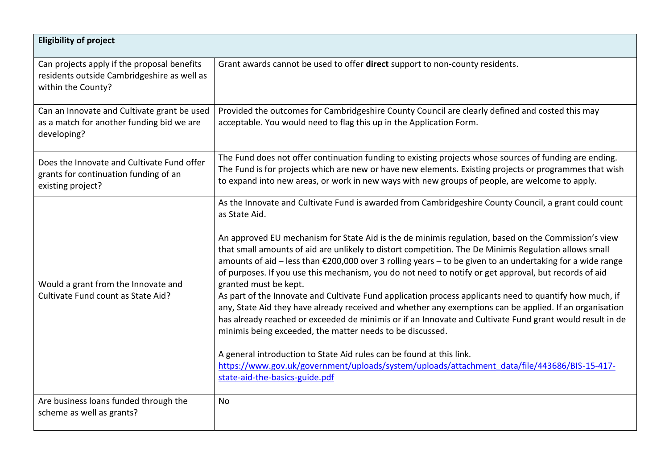| <b>Eligibility of project</b>                                                                                    |                                                                                                                                                                                                                                                                                                                                                                                                                                                                                                                                                                                                                                                                                                                                                                                                                                                                                                                                                                                                                                                                                                                                                                                                |
|------------------------------------------------------------------------------------------------------------------|------------------------------------------------------------------------------------------------------------------------------------------------------------------------------------------------------------------------------------------------------------------------------------------------------------------------------------------------------------------------------------------------------------------------------------------------------------------------------------------------------------------------------------------------------------------------------------------------------------------------------------------------------------------------------------------------------------------------------------------------------------------------------------------------------------------------------------------------------------------------------------------------------------------------------------------------------------------------------------------------------------------------------------------------------------------------------------------------------------------------------------------------------------------------------------------------|
| Can projects apply if the proposal benefits<br>residents outside Cambridgeshire as well as<br>within the County? | Grant awards cannot be used to offer direct support to non-county residents.                                                                                                                                                                                                                                                                                                                                                                                                                                                                                                                                                                                                                                                                                                                                                                                                                                                                                                                                                                                                                                                                                                                   |
| Can an Innovate and Cultivate grant be used<br>as a match for another funding bid we are<br>developing?          | Provided the outcomes for Cambridgeshire County Council are clearly defined and costed this may<br>acceptable. You would need to flag this up in the Application Form.                                                                                                                                                                                                                                                                                                                                                                                                                                                                                                                                                                                                                                                                                                                                                                                                                                                                                                                                                                                                                         |
| Does the Innovate and Cultivate Fund offer<br>grants for continuation funding of an<br>existing project?         | The Fund does not offer continuation funding to existing projects whose sources of funding are ending.<br>The Fund is for projects which are new or have new elements. Existing projects or programmes that wish<br>to expand into new areas, or work in new ways with new groups of people, are welcome to apply.                                                                                                                                                                                                                                                                                                                                                                                                                                                                                                                                                                                                                                                                                                                                                                                                                                                                             |
| Would a grant from the Innovate and<br>Cultivate Fund count as State Aid?                                        | As the Innovate and Cultivate Fund is awarded from Cambridgeshire County Council, a grant could count<br>as State Aid.<br>An approved EU mechanism for State Aid is the de minimis regulation, based on the Commission's view<br>that small amounts of aid are unlikely to distort competition. The De Minimis Regulation allows small<br>amounts of aid - less than €200,000 over 3 rolling years - to be given to an undertaking for a wide range<br>of purposes. If you use this mechanism, you do not need to notify or get approval, but records of aid<br>granted must be kept.<br>As part of the Innovate and Cultivate Fund application process applicants need to quantify how much, if<br>any, State Aid they have already received and whether any exemptions can be applied. If an organisation<br>has already reached or exceeded de minimis or if an Innovate and Cultivate Fund grant would result in de<br>minimis being exceeded, the matter needs to be discussed.<br>A general introduction to State Aid rules can be found at this link.<br>https://www.gov.uk/government/uploads/system/uploads/attachment_data/file/443686/BIS-15-417-<br>state-aid-the-basics-guide.pdf |
| Are business loans funded through the<br>scheme as well as grants?                                               | <b>No</b>                                                                                                                                                                                                                                                                                                                                                                                                                                                                                                                                                                                                                                                                                                                                                                                                                                                                                                                                                                                                                                                                                                                                                                                      |